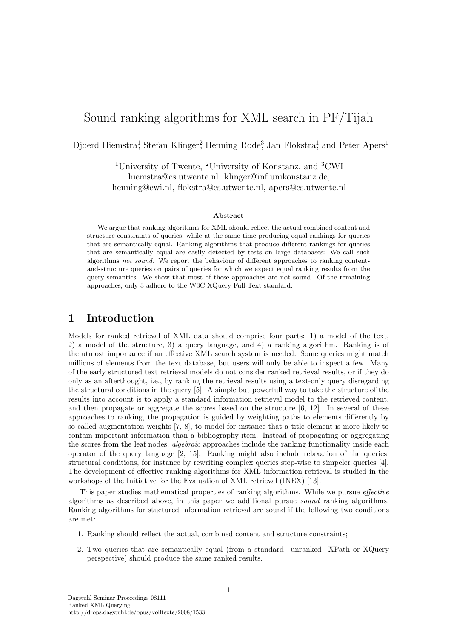# Sound ranking algorithms for XML search in PF/Tijah

Djoerd Hiemstra<sup>1</sup>, Stefan Klinger<sup>2</sup>, Henning Rode<sup>3</sup>, Jan Flokstra<sup>1</sup>, and Peter Apers<sup>1</sup>

<sup>1</sup>University of Twente, <sup>2</sup>University of Konstanz, and <sup>3</sup>CWI hiemstra@cs.utwente.nl, klinger@inf.unikonstanz.de, henning@cwi.nl, flokstra@cs.utwente.nl, apers@cs.utwente.nl

#### Abstract

We argue that ranking algorithms for XML should reflect the actual combined content and structure constraints of queries, while at the same time producing equal rankings for queries that are semantically equal. Ranking algorithms that produce different rankings for queries that are semantically equal are easily detected by tests on large databases: We call such algorithms not sound. We report the behaviour of different approaches to ranking contentand-structure queries on pairs of queries for which we expect equal ranking results from the query semantics. We show that most of these approaches are not sound. Of the remaining approaches, only 3 adhere to the W3C XQuery Full-Text standard.

# 1 Introduction

Models for ranked retrieval of XML data should comprise four parts: 1) a model of the text, 2) a model of the structure, 3) a query language, and 4) a ranking algorithm. Ranking is of the utmost importance if an effective XML search system is needed. Some queries might match millions of elements from the text database, but users will only be able to inspect a few. Many of the early structured text retrieval models do not consider ranked retrieval results, or if they do only as an afterthought, i.e., by ranking the retrieval results using a text-only query disregarding the structural conditions in the query [5]. A simple but powerfull way to take the structure of the results into account is to apply a standard information retrieval model to the retrieved content, and then propagate or aggregate the scores based on the structure [6, 12]. In several of these approaches to ranking, the propagation is guided by weighting paths to elements differently by so-called augmentation weights [7, 8], to model for instance that a title element is more likely to contain important information than a bibliography item. Instead of propagating or aggregating the scores from the leaf nodes, algebraic approaches include the ranking functionality inside each operator of the query language [2, 15]. Ranking might also include relaxation of the queries' structural conditions, for instance by rewriting complex queries step-wise to simpeler queries [4]. The development of effective ranking algorithms for XML information retrieval is studied in the workshops of the Initiative for the Evaluation of XML retrieval (INEX) [13].

This paper studies mathematical properties of ranking algorithms. While we pursue effective algorithms as described above, in this paper we additional pursue sound ranking algorithms. Ranking algorithms for stuctured information retrieval are sound if the following two conditions are met:

- 1. Ranking should reflect the actual, combined content and structure constraints;
- 2. Two queries that are semantically equal (from a standard –unranked– XPath or XQuery perspective) should produce the same ranked results.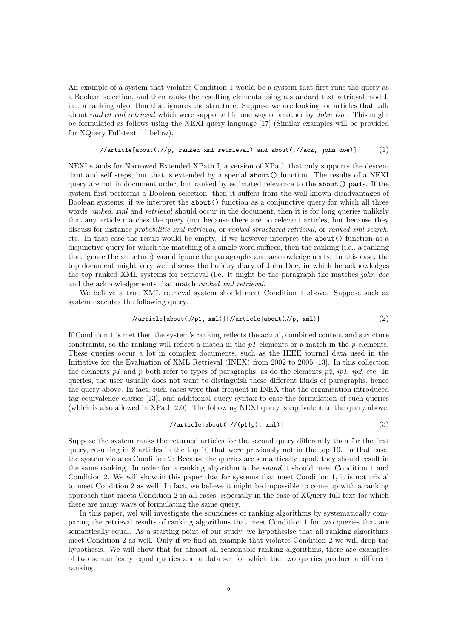An example of a system that violates Condition 1 would be a system that first runs the query as a Boolean selection, and then ranks the resulting elements using a standard text retrieval model, i.e., a ranking algorithm that ignores the structure. Suppose we are looking for articles that talk about *ranked xml retrieval* which were supported in one way or another by *John Doe.* This might be formulated as follows using the NEXI query language [17] (Similar examples will be provided for XQuery Full-text [1] below).

### $\sqrt{\arctin\{about(\cdot//p, ranked xml retrieval)\}$  and about(.//ack, john doe)] (1)

NEXI stands for Narrowed Extended XPath I, a version of XPath that only supports the descendant and self steps, but that is extended by a special about() function. The results of a NEXI query are not in document order, but ranked by estimated relevance to the about() parts. If the system first performs a Boolean selection, then it suffers from the well-known disadvantages of Boolean systems: if we interpret the about() function as a conjunctive query for which all three words ranked, xml and retrieval should occur in the document, then it is for long queries unlikely that any article matches the query (not because there are no relevant articles, but because they discuss for instance probabilitic xml retrieval, or ranked structured retrieval, or ranked xml search, etc. In that case the result would be empty. If we however interpret the about() function as a disjunctive query for which the matching of a single word suffices, then the ranking (i.e., a ranking that ignore the structure) would ignore the paragraphs and acknowledgements. In this case, the top document might very well discuss the holiday diary of John Doe, in which he acknowledges the top ranked XML systems for retrieval (i.e. it might be the paragraph the matches john doe and the acknowledgements that match ranked xml retrieval.

We believe a true XML retrieval system should meet Condition 1 above. Suppose such as system executes the following query.

$$
//article [about (.//p1, xml)] //article [about (.//p, xml)]
$$
 (2)

If Condition 1 is met then the system's ranking reflects the actual, combined content and structure constraints, so the ranking will reflect a match in the  $p_1$  elements or a match in the  $p$  elements. These queries occur a lot in complex documents, such as the IEEE journal data used in the Initiative for the Evaluation of XML Retrieval (INEX) from 2002 to 2005 [13]. In this collection the elements p1 and p both refer to types of paragraphs, as do the elements p2, ip1, ip2, etc. In queries, the user usually does not want to distinguish these different kinds of paragraphs, hence the query above. In fact, such cases were that frequent in INEX that the organisation introduced tag equivalence classes [13], and additional query syntax to ease the formulation of such queries (which is also allowed in XPath 2.0). The following NEXI query is equivalent to the query above:

#### $//$ article[about(.//(p1|p), xml)] (3)

Suppose the system ranks the returned articles for the second query differently than for the first query, resulting in 8 articles in the top 10 that were previously not in the top 10. In that case, the system violates Condition 2: Because the queries are semantically equal, they should result in the same ranking. In order for a ranking algorithm to be sound it should meet Condition 1 and Condition 2. We will show in this paper that for systems that meet Condition 1, it is not trivial to meet Condition 2 as well. In fact, we believe it might be impossible to come up with a ranking approach that meets Condition 2 in all cases, especially in the case of XQuery full-text for which there are many ways of formulating the same query.

In this paper, wel will investigate the soundness of ranking algorithms by systematically comparing the retrieval results of ranking algorithms that meet Condition 1 for two queries that are semantically equal. As a starting point of our study, we hypothesise that all ranking algorithms meet Condition 2 as well. Only if we find an example that violates Condition 2 we will drop the hypothesis. We will show that for almost all reasonable ranking algorithms, there are examples of two semantically equal queries and a data set for which the two queries produce a different ranking.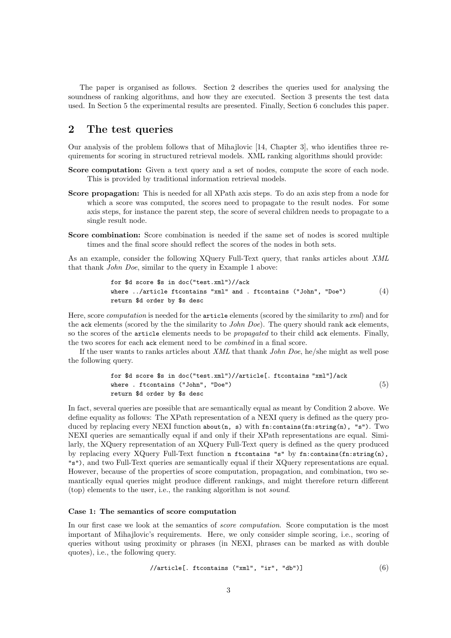The paper is organised as follows. Section 2 describes the queries used for analysing the soundness of ranking algorithms, and how they are executed. Section 3 presents the test data used. In Section 5 the experimental results are presented. Finally, Section 6 concludes this paper.

# 2 The test queries

Our analysis of the problem follows that of Mihajlovic [14, Chapter 3], who identifies three requirements for scoring in structured retrieval models. XML ranking algorithms should provide:

- Score computation: Given a text query and a set of nodes, compute the score of each node. This is provided by traditional information retrieval models.
- Score propagation: This is needed for all XPath axis steps. To do an axis step from a node for which a score was computed, the scores need to propagate to the result nodes. For some axis steps, for instance the parent step, the score of several children needs to propagate to a single result node.
- Score combination: Score combination is needed if the same set of nodes is scored multiple times and the final score should reflect the scores of the nodes in both sets.

As an example, consider the following XQuery Full-Text query, that ranks articles about XML that thank John Doe, similar to the query in Example 1 above:

for \$d score \$s in doc("test.xml")//ack where ../article ftcontains "xml" and . ftcontains ("John", "Doe") return \$d order by \$s desc (4)

Here, score *computation* is needed for the article elements (scored by the similarity to xml) and for the ack elements (scored by the the similarity to *John Doe*). The query should rank ack elements, so the scores of the article elements needs to be *propagated* to their child ack elements. Finally, the two scores for each ack element need to be combined in a final score.

If the user wants to ranks articles about XML that thank John Doe, he/she might as well pose the following query.

for \$d score \$s in doc("test.xml")//article[. ftcontains "xml"]/ack where . ftcontains ("John", "Doe") return \$d order by \$s desc (5)

In fact, several queries are possible that are semantically equal as meant by Condition 2 above. We define equality as follows: The XPath representation of a NEXI query is defined as the query produced by replacing every NEXI function about  $(n, s)$  with fn:contains(fn:string(n), "s"). Two NEXI queries are semantically equal if and only if their XPath representations are equal. Similarly, the XQuery representation of an XQuery Full-Text query is defined as the query produced by replacing every XQuery Full-Text function n ftcontains "s" by fn:contains(fn:string(n), "s"), and two Full-Text queries are semantically equal if their XQuery representations are equal. However, because of the properties of score computation, propagation, and combination, two semantically equal queries might produce different rankings, and might therefore return different (top) elements to the user, i.e., the ranking algorithm is not sound.

### Case 1: The semantics of score computation

In our first case we look at the semantics of *score computation*. Score computation is the most important of Mihajlovic's requirements. Here, we only consider simple scoring, i.e., scoring of queries without using proximity or phrases (in NEXI, phrases can be marked as with double quotes), i.e., the following query.

$$
\texttt{\textbf{}/\textbf{article}[\textbf{. ftcontains ("xml", "ir", "db")}]}}\tag{6}
$$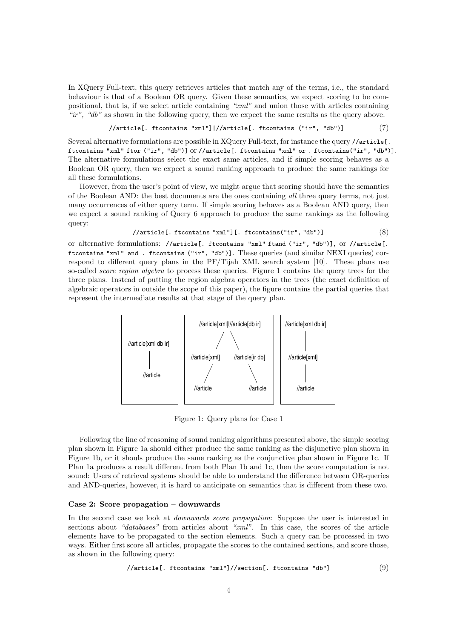In XQuery Full-text, this query retrieves articles that match any of the terms, i.e., the standard behaviour is that of a Boolean OR query. Given these semantics, we expect scoring to be compositional, that is, if we select article containing " $xml$ " and union those with articles containing "ir", "db" as shown in the following query, then we expect the same results as the query above.

```
//article[. ftcontains "xml"]|//article[. ftcontains ("ir", "db")] (7)
```
Several alternative formulations are possible in XQuery Full-text, for instance the query //article[. ftcontains "xml" ftor ("ir", "db")] or //article[. ftcontains "xml" or . ftcontains("ir", "db")]. The alternative formulations select the exact same articles, and if simple scoring behaves as a Boolean OR query, then we expect a sound ranking approach to produce the same rankings for all these formulations.

However, from the user's point of view, we might argue that scoring should have the semantics of the Boolean AND: the best documents are the ones containing all three query terms, not just many occurrences of either query term. If simple scoring behaves as a Boolean AND query, then we expect a sound ranking of Query 6 approach to produce the same rankings as the following query:

### //article[. ftcontains "xml"][. ftcontains("ir", "db")] (8)

or alternative formulations: //article[. ftcontains "xml" ftand ("ir", "db")], or //article[. ftcontains "xml" and . ftcontains ("ir", "db")]. These queries (and similar NEXI queries) correspond to different query plans in the PF/Tijah XML search system [10]. These plans use so-called *score region algebra* to process these queries. Figure 1 contains the query trees for the three plans. Instead of putting the region algebra operators in the trees (the exact definition of algebraic operators in outside the scope of this paper), the figure contains the partial queries that represent the intermediate results at that stage of the query plan.



Figure 1: Query plans for Case 1

Following the line of reasoning of sound ranking algorithms presented above, the simple scoring plan shown in Figure 1a should either produce the same ranking as the disjunctive plan shown in Figure 1b, or it shouls produce the same ranking as the conjunctive plan shown in Figure 1c. If Plan 1a produces a result different from both Plan 1b and 1c, then the score computation is not sound: Users of retrieval systems should be able to understand the difference between OR-queries and AND-queries, however, it is hard to anticipate on semantics that is different from these two.

### Case 2: Score propagation – downwards

In the second case we look at *downwards score propagation*: Suppose the user is interested in sections about "databases" from articles about " $xml$ ". In this case, the scores of the article elements have to be propagated to the section elements. Such a query can be processed in two ways. Either first score all articles, propagate the scores to the contained sections, and score those, as shown in the following query:

$$
\verb|//article[. ftcontains "xml"]//section[. ftcontains "db"]
$$
 (9)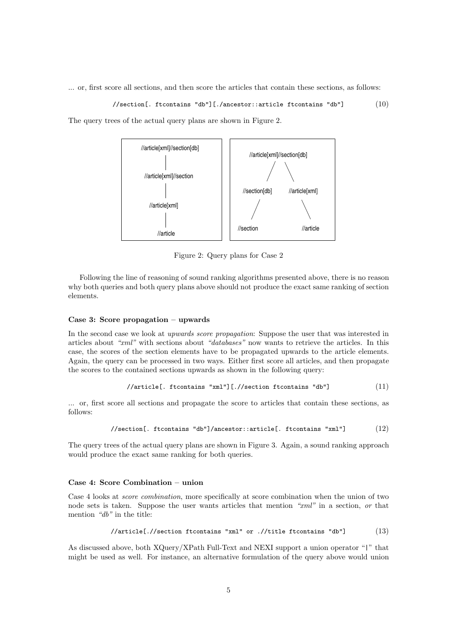... or, first score all sections, and then score the articles that contain these sections, as follows:

//section[. ftcontains "db"][./ancestor::article ftcontains "db"] (10)

The query trees of the actual query plans are shown in Figure 2.



Figure 2: Query plans for Case 2

Following the line of reasoning of sound ranking algorithms presented above, there is no reason why both queries and both query plans above should not produce the exact same ranking of section elements.

# Case 3: Score propagation – upwards

In the second case we look at upwards score propagation: Suppose the user that was interested in articles about "xml" with sections about "databases" now wants to retrieve the articles. In this case, the scores of the section elements have to be propagated upwards to the article elements. Again, the query can be processed in two ways. Either first score all articles, and then propagate the scores to the contained sections upwards as shown in the following query:

$$
\texttt{\texttt{\textbf{}/}} \texttt{\textbf{}} \texttt{article[}. \texttt{ftcontains "xml"]}. \texttt{\textbf{/.}} \texttt{\textbf{/}} \texttt{section} \texttt{ftcontains "db"]} \tag{11}
$$

... or, first score all sections and propagate the score to articles that contain these sections, as follows:

$$
\pmb{\quad \text{//section}[\,. \,\, \text{ftcontains "db"]/ancestor:article}[\,. \,\, \text{ftcontains "xml"]}\qquad \qquad (12)}
$$

The query trees of the actual query plans are shown in Figure 3. Again, a sound ranking approach would produce the exact same ranking for both queries.

#### Case 4: Score Combination – union

Case 4 looks at score combination, more specifically at score combination when the union of two node sets is taken. Suppose the user wants articles that mention "xml" in a section, or that mention "db" in the title:

//article.//section ftcontains "xml" or .//title ftontains "db"] 
$$
(13)
$$

As discussed above, both XQuery/XPath Full-Text and NEXI support a union operator "|" that might be used as well. For instance, an alternative formulation of the query above would union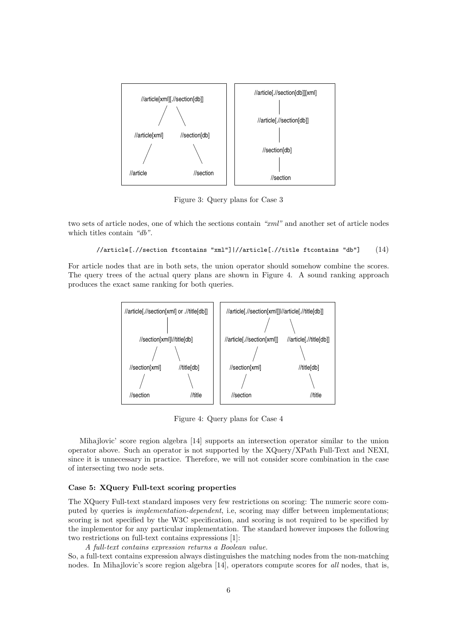

Figure 3: Query plans for Case 3

two sets of article nodes, one of which the sections contain "xml" and another set of article nodes which titles contain "db".

```
//article[.//section ftcontains "xml"]|//article[.//title ftcontains "db"] (14)
```
For article nodes that are in both sets, the union operator should somehow combine the scores. The query trees of the actual query plans are shown in Figure 4. A sound ranking approach produces the exact same ranking for both queries.



Figure 4: Query plans for Case 4

Mihajlovic' score region algebra [14] supports an intersection operator similar to the union operator above. Such an operator is not supported by the XQuery/XPath Full-Text and NEXI, since it is unnecessary in practice. Therefore, we will not consider score combination in the case of intersecting two node sets.

## Case 5: XQuery Full-text scoring properties

The XQuery Full-text standard imposes very few restrictions on scoring: The numeric score computed by queries is implementation-dependent, i.e, scoring may differ between implementations; scoring is not specified by the W3C specification, and scoring is not required to be specified by the implementor for any particular implementation. The standard however imposes the following two restrictions on full-text contains expressions [1]:

A full-text contains expression returns a Boolean value.

So, a full-text contains expression always distinguishes the matching nodes from the non-matching nodes. In Mihajlovic's score region algebra [14], operators compute scores for all nodes, that is,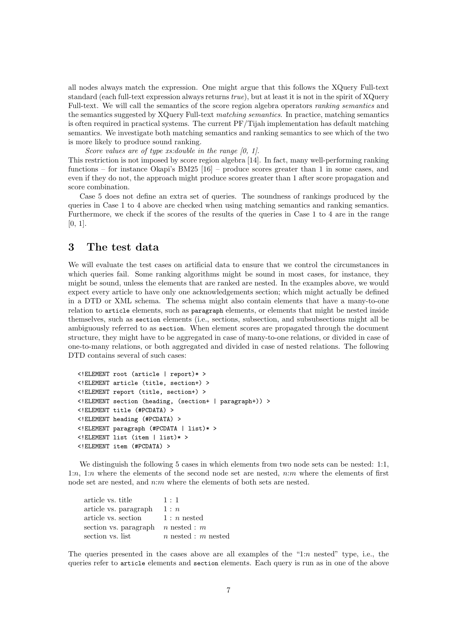all nodes always match the expression. One might argue that this follows the XQuery Full-text standard (each full-text expression always returns true), but at least it is not in the spirit of XQuery Full-text. We will call the semantics of the score region algebra operators ranking semantics and the semantics suggested by XQuery Full-text matching semantics. In practice, matching semantics is often required in practical systems. The current PF/Tijah implementation has default matching semantics. We investigate both matching semantics and ranking semantics to see which of the two is more likely to produce sound ranking.

Score values are of type xs: double in the range [0, 1]. This restriction is not imposed by score region algebra [14]. In fact, many well-performing ranking functions – for instance Okapi's BM25 [16] – produce scores greater than 1 in some cases, and even if they do not, the approach might produce scores greater than 1 after score propagation and score combination.

Case 5 does not define an extra set of queries. The soundness of rankings produced by the queries in Case 1 to 4 above are checked when using matching semantics and ranking semantics. Furthermore, we check if the scores of the results of the queries in Case 1 to 4 are in the range [0, 1].

# 3 The test data

We will evaluate the test cases on artificial data to ensure that we control the circumstances in which queries fail. Some ranking algorithms might be sound in most cases, for instance, they might be sound, unless the elements that are ranked are nested. In the examples above, we would expect every article to have only one acknowledgements section; which might actually be defined in a DTD or XML schema. The schema might also contain elements that have a many-to-one relation to article elements, such as paragraph elements, or elements that might be nested inside themselves, such as section elements (i.e., sections, subsection, and subsubsections might all be ambiguously referred to as section. When element scores are propagated through the document structure, they might have to be aggregated in case of many-to-one relations, or divided in case of one-to-many relations, or both aggregated and divided in case of nested relations. The following DTD contains several of such cases:

```
<!ELEMENT root (article | report)* >
<!ELEMENT article (title, section+) >
<!ELEMENT report (title, section+) >
<!ELEMENT section (heading, (section+ | paragraph+)) >
<!ELEMENT title (#PCDATA) >
<!ELEMENT heading (#PCDATA) >
<!ELEMENT paragraph (#PCDATA | list)* >
<!ELEMENT list (item | list)* >
<!ELEMENT item (#PCDATA) >
```
We distinguish the following 5 cases in which elements from two node sets can be nested: 1:1, 1:n, 1:n where the elements of the second node set are nested,  $n:m$  where the elements of first node set are nested, and n:m where the elements of both sets are nested.

| article vs. title     | 1:1                   |
|-----------------------|-----------------------|
| article vs. paragraph | 1:n                   |
| article vs. section   | $1:n$ nested          |
| section vs. paragraph | $n$ nested : $m$      |
| section vs. list      | $n$ nested : m nested |

The queries presented in the cases above are all examples of the " $1:n$  nested" type, i.e., the queries refer to article elements and section elements. Each query is run as in one of the above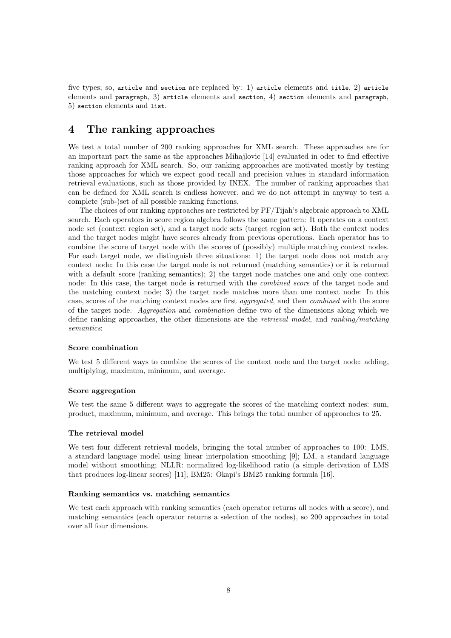five types; so, article and section are replaced by: 1) article elements and title, 2) article elements and paragraph, 3) article elements and section, 4) section elements and paragraph, 5) section elements and list.

# 4 The ranking approaches

We test a total number of 200 ranking approaches for XML search. These approaches are for an important part the same as the approaches Mihajlovic [14] evaluated in oder to find effective ranking approach for XML search. So, our ranking approaches are motivated mostly by testing those approaches for which we expect good recall and precision values in standard information retrieval evaluations, such as those provided by INEX. The number of ranking approaches that can be defined for XML search is endless however, and we do not attempt in anyway to test a complete (sub-)set of all possible ranking functions.

The choices of our ranking approaches are restricted by PF/Tijah's algebraic approach to XML search. Each operators in score region algebra follows the same pattern: It operates on a context node set (context region set), and a target node sets (target region set). Both the context nodes and the target nodes might have scores already from previous operations. Each operator has to combine the score of target node with the scores of (possibly) multiple matching context nodes. For each target node, we distinguish three situations: 1) the target node does not match any context node: In this case the target node is not returned (matching semantics) or it is returned with a default score (ranking semantics); 2) the target node matches one and only one context node: In this case, the target node is returned with the *combined score* of the target node and the matching context node; 3) the target node matches more than one context node: In this case, scores of the matching context nodes are first aggregated, and then combined with the score of the target node. Aggregation and combination define two of the dimensions along which we define ranking approaches, the other dimensions are the retrieval model, and ranking/matching semantics:

# Score combination

We test 5 different ways to combine the scores of the context node and the target node: adding, multiplying, maximum, minimum, and average.

#### Score aggregation

We test the same 5 different ways to aggregate the scores of the matching context nodes: sum, product, maximum, minimum, and average. This brings the total number of approaches to 25.

#### The retrieval model

We test four different retrieval models, bringing the total number of approaches to 100: LMS, a standard language model using linear interpolation smoothing [9]; LM, a standard language model without smoothing; NLLR: normalized log-likelihood ratio (a simple derivation of LMS that produces log-linear scores) [11]; BM25: Okapi's BM25 ranking formula [16].

### Ranking semantics vs. matching semantics

We test each approach with ranking semantics (each operator returns all nodes with a score), and matching semantics (each operator returns a selection of the nodes), so 200 approaches in total over all four dimensions.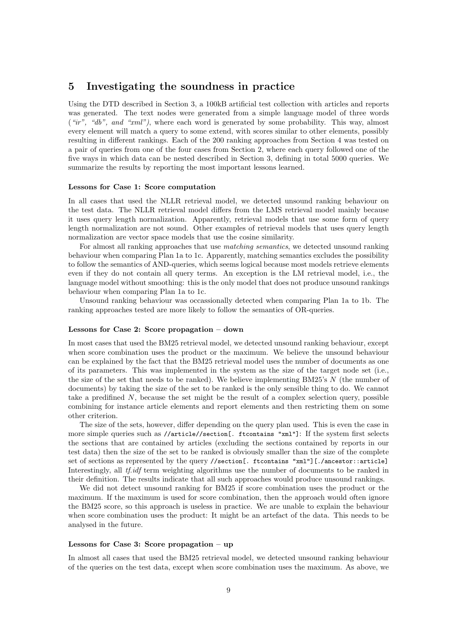# 5 Investigating the soundness in practice

Using the DTD described in Section 3, a 100kB artificial test collection with articles and reports was generated. The text nodes were generated from a simple language model of three words  $(*ir", "db", and "xml",$  where each word is generated by some probability. This way, almost every element will match a query to some extend, with scores similar to other elements, possibly resulting in different rankings. Each of the 200 ranking approaches from Section 4 was tested on a pair of queries from one of the four cases from Section 2, where each query followed one of the five ways in which data can be nested described in Section 3, defining in total 5000 queries. We summarize the results by reporting the most important lessons learned.

#### Lessons for Case 1: Score computation

In all cases that used the NLLR retrieval model, we detected unsound ranking behaviour on the test data. The NLLR retrieval model differs from the LMS retrieval model mainly because it uses query length normalization. Apparently, retrieval models that use some form of query length normalization are not sound. Other examples of retrieval models that uses query length normalization are vector space models that use the cosine similarity.

For almost all ranking approaches that use *matching semantics*, we detected unsound ranking behaviour when comparing Plan 1a to 1c. Apparently, matching semantics excludes the possibility to follow the semantics of AND-queries, which seems logical because most models retrieve elements even if they do not contain all query terms. An exception is the LM retrieval model, i.e., the language model without smoothing: this is the only model that does not produce unsound rankings behaviour when comparing Plan 1a to 1c.

Unsound ranking behaviour was occassionally detected when comparing Plan 1a to 1b. The ranking approaches tested are more likely to follow the semantics of OR-queries.

#### Lessons for Case 2: Score propagation – down

In most cases that used the BM25 retrieval model, we detected unsound ranking behaviour, except when score combination uses the product or the maximum. We believe the unsound behaviour can be explained by the fact that the BM25 retrieval model uses the number of documents as one of its parameters. This was implemented in the system as the size of the target node set (i.e., the size of the set that needs to be ranked). We believe implementing BM25's N (the number of documents) by taking the size of the set to be ranked is the only sensible thing to do. We cannot take a predifined  $N$ , because the set might be the result of a complex selection query, possible combining for instance article elements and report elements and then restricting them on some other criterion.

The size of the sets, however, differ depending on the query plan used. This is even the case in more simple queries such as //article//section[. ftcontains "xml"]: If the system first selects the sections that are contained by articles (excluding the sections contained by reports in our test data) then the size of the set to be ranked is obviously smaller than the size of the complete set of sections as represented by the query //section[. ftcontains "xml"][./ancestor::article] Interestingly, all *tf.idf* term weighting algorithms use the number of documents to be ranked in their definition. The results indicate that all such approaches would produce unsound rankings.

We did not detect unsound ranking for BM25 if score combination uses the product or the maximum. If the maximum is used for score combination, then the approach would often ignore the BM25 score, so this approach is useless in practice. We are unable to explain the behaviour when score combination uses the product: It might be an artefact of the data. This needs to be analysed in the future.

### Lessons for Case 3: Score propagation – up

In almost all cases that used the BM25 retrieval model, we detected unsound ranking behaviour of the queries on the test data, except when score combination uses the maximum. As above, we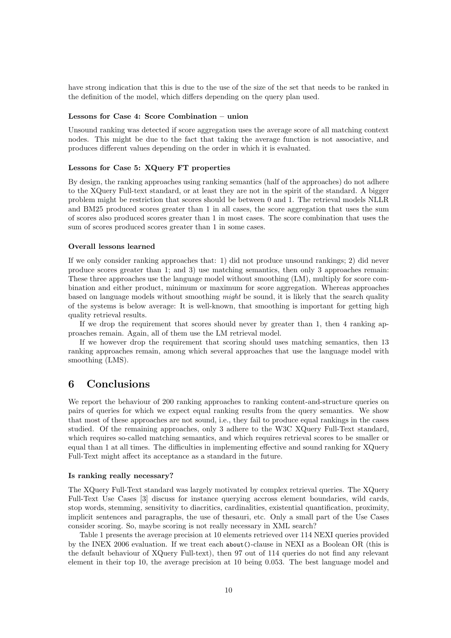have strong indication that this is due to the use of the size of the set that needs to be ranked in the definition of the model, which differs depending on the query plan used.

#### Lessons for Case 4: Score Combination – union

Unsound ranking was detected if score aggregation uses the average score of all matching context nodes. This might be due to the fact that taking the average function is not associative, and produces different values depending on the order in which it is evaluated.

#### Lessons for Case 5: XQuery FT properties

By design, the ranking approaches using ranking semantics (half of the approaches) do not adhere to the XQuery Full-text standard, or at least they are not in the spirit of the standard. A bigger problem might be restriction that scores should be between 0 and 1. The retrieval models NLLR and BM25 produced scores greater than 1 in all cases, the score aggregation that uses the sum of scores also produced scores greater than 1 in most cases. The score combination that uses the sum of scores produced scores greater than 1 in some cases.

# Overall lessons learned

If we only consider ranking approaches that: 1) did not produce unsound rankings; 2) did never produce scores greater than 1; and 3) use matching semantics, then only 3 approaches remain: These three approaches use the language model without smoothing (LM), multiply for score combination and either product, minimum or maximum for score aggregation. Whereas approaches based on language models without smoothing might be sound, it is likely that the search quality of the systems is below average: It is well-known, that smoothing is important for getting high quality retrieval results.

If we drop the requirement that scores should never by greater than 1, then 4 ranking approaches remain. Again, all of them use the LM retrieval model.

If we however drop the requirement that scoring should uses matching semantics, then 13 ranking approaches remain, among which several approaches that use the language model with smoothing (LMS).

# 6 Conclusions

We report the behaviour of 200 ranking approaches to ranking content-and-structure queries on pairs of queries for which we expect equal ranking results from the query semantics. We show that most of these approaches are not sound, i.e., they fail to produce equal rankings in the cases studied. Of the remaining approaches, only 3 adhere to the W3C XQuery Full-Text standard, which requires so-called matching semantics, and which requires retrieval scores to be smaller or equal than 1 at all times. The difficulties in implementing effective and sound ranking for XQuery Full-Text might affect its acceptance as a standard in the future.

# Is ranking really necessary?

The XQuery Full-Text standard was largely motivated by complex retrieval queries. The XQuery Full-Text Use Cases [3] discuss for instance querying accross element boundaries, wild cards, stop words, stemming, sensitivity to diacritics, cardinalities, existential quantification, proximity, implicit sentences and paragraphs, the use of thesauri, etc. Only a small part of the Use Cases consider scoring. So, maybe scoring is not really necessary in XML search?

Table 1 presents the average precision at 10 elements retrieved over 114 NEXI queries provided by the INEX 2006 evaluation. If we treat each about()-clause in NEXI as a Boolean OR (this is the default behaviour of XQuery Full-text), then 97 out of 114 queries do not find any relevant element in their top 10, the average precision at 10 being 0.053. The best language model and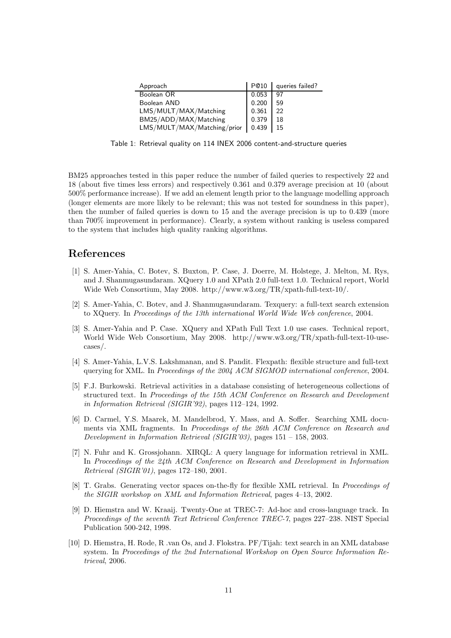| Approach                    | P@10  | queries failed? |
|-----------------------------|-------|-----------------|
| Boolean OR                  | 0.053 | 97              |
| Boolean AND                 | 0.200 | 59              |
| LMS/MULT/MAX/Matching       | 0.361 | 22              |
| BM25/ADD/MAX/Matching       | 0.379 | 18              |
| LMS/MULT/MAX/Matching/prior | 0.439 | 15              |
|                             |       |                 |

Table 1: Retrieval quality on 114 INEX 2006 content-and-structure queries

BM25 approaches tested in this paper reduce the number of failed queries to respectively 22 and 18 (about five times less errors) and respectively 0.361 and 0.379 average precision at 10 (about 500% performance increase). If we add an element length prior to the language modelling approach (longer elements are more likely to be relevant; this was not tested for soundness in this paper), then the number of failed queries is down to 15 and the average precision is up to 0.439 (more than 700% improvement in performance). Clearly, a system without ranking is useless compared to the system that includes high quality ranking algorithms.

# References

- [1] S. Amer-Yahia, C. Botev, S. Buxton, P. Case, J. Doerre, M. Holstege, J. Melton, M. Rys, and J. Shanmugasundaram. XQuery 1.0 and XPath 2.0 full-text 1.0. Technical report, World Wide Web Consortium, May 2008. http://www.w3.org/TR/xpath-full-text-10/.
- [2] S. Amer-Yahia, C. Botev, and J. Shanmugasundaram. Texquery: a full-text search extension to XQuery. In Proceedings of the 13th international World Wide Web conference, 2004.
- [3] S. Amer-Yahia and P. Case. XQuery and XPath Full Text 1.0 use cases. Technical report, World Wide Web Consortium, May 2008. http://www.w3.org/TR/xpath-full-text-10-usecases/.
- [4] S. Amer-Yahia, L.V.S. Lakshmanan, and S. Pandit. Flexpath: flexible structure and full-text querying for XML. In Proceedings of the 2004 ACM SIGMOD international conference, 2004.
- [5] F.J. Burkowski. Retrieval activities in a database consisting of heterogeneous collections of structured text. In Proceedings of the 15th ACM Conference on Research and Development in Information Retrieval (SIGIR'92), pages 112–124, 1992.
- [6] D. Carmel, Y.S. Maarek, M. Mandelbrod, Y. Mass, and A. Soffer. Searching XML documents via XML fragments. In Proceedings of the 26th ACM Conference on Research and Development in Information Retrieval (SIGIR'03), pages 151 – 158, 2003.
- [7] N. Fuhr and K. Grossjohann. XIRQL: A query language for information retrieval in XML. In Proceedings of the 24th ACM Conference on Research and Development in Information Retrieval (SIGIR'01), pages 172–180, 2001.
- [8] T. Grabs. Generating vector spaces on-the-fly for flexible XML retrieval. In *Proceedings of* the SIGIR workshop on XML and Information Retrieval, pages 4–13, 2002.
- [9] D. Hiemstra and W. Kraaij. Twenty-One at TREC-7: Ad-hoc and cross-language track. In Proceedings of the seventh Text Retrieval Conference TREC-7, pages 227–238. NIST Special Publication 500-242, 1998.
- [10] D. Hiemstra, H. Rode, R .van Os, and J. Flokstra. PF/Tijah: text search in an XML database system. In Proceedings of the 2nd International Workshop on Open Source Information Retrieval, 2006.